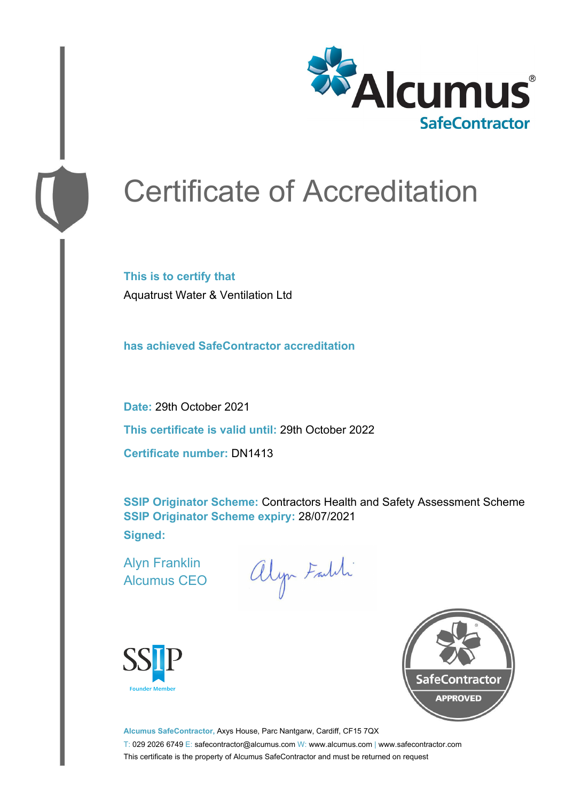

# Certificate of Accreditation

**This is to certify that** Aquatrust Water & Ventilation Ltd

**has achieved SafeContractor accreditation**

**Date:** 29th October 2021 **This certificate is valid until:** 29th October 2022 **Certificate number:** DN1413

**SSIP Originator Scheme:** Contractors Health and Safety Assessment Scheme **SSIP Originator Scheme expiry:** 28/07/2021 **Signed:**

Alyn Franklin Alcumus CEO

alyn Faldi





**Alcumus SafeContractor,** Axys House, Parc Nantgarw, Cardiff, CF15 7QX T: 029 2026 6749 E: safecontractor@alcumus.com W: www.alcumus.com | www.safecontractor.com This certificate is the property of Alcumus SafeContractor and must be returned on request